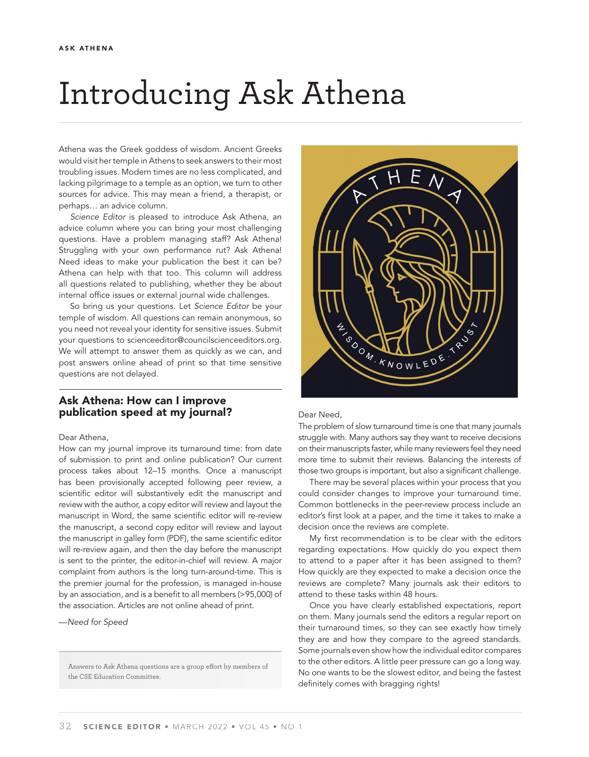# Introducing Ask Athena

Athena was the Greek goddess of wisdom. Ancient Greeks would visit her temple in Athens to seek answers to their most troubling issues. Modern times are no less complicated, and lacking pilgrimage to a temple as an option, we turn to other sources for advice. This may mean a friend, a therapist, or perhaps… an advice column.

*Science Editor* is pleased to introduce Ask Athena, an advice column where you can bring your most challenging questions. Have a problem managing staff? Ask Athena! Struggling with your own performance rut? Ask Athena! Need ideas to make your publication the best it can be? Athena can help with that too. This column will address all questions related to publishing, whether they be about internal office issues or external journal wide challenges.

So bring us your questions. Let *Science Editor* be your temple of wisdom. All questions can remain anonymous, so you need not reveal your identity for sensitive issues. Submit your questions to scienceeditor@councilscienceeditors.org. We will attempt to answer them as quickly as we can, and post answers online ahead of print so that time sensitive questions are not delayed.

# Ask Athena: How can I improve publication speed at my journal?

#### Dear Athena,

How can my journal improve its turnaround time: from date of submission to print and online publication? Our current process takes about 12–15 months. Once a manuscript has been provisionally accepted following peer review, a scientific editor will substantively edit the manuscript and review with the author, a copy editor will review and layout the manuscript in Word, the same scientific editor will re-review the manuscript, a second copy editor will review and layout the manuscript in galley form (PDF), the same scientific editor will re-review again, and then the day before the manuscript is sent to the printer, the editor-in-chief will review. A major complaint from authors is the long turn-around-time. This is the premier journal for the profession, is managed in-house by an association, and is a benefit to all members (>95,000) of the association. Articles are not online ahead of print.

—*Need for Speed*

Answers to Ask Athena questions are a group effort by members of the CSE Education Committee.



#### Dear Need,

The problem of slow turnaround time is one that many journals struggle with. Many authors say they want to receive decisions on their manuscripts faster, while many reviewers feel they need more time to submit their reviews. Balancing the interests of those two groups is important, but also a significant challenge.

There may be several places within your process that you could consider changes to improve your turnaround time. Common bottlenecks in the peer-review process include an editor's first look at a paper, and the time it takes to make a decision once the reviews are complete.

My first recommendation is to be clear with the editors regarding expectations. How quickly do you expect them to attend to a paper after it has been assigned to them? How quickly are they expected to make a decision once the reviews are complete? Many journals ask their editors to attend to these tasks within 48 hours.

Once you have clearly established expectations, report on them. Many journals send the editors a regular report on their turnaround times, so they can see exactly how timely they are and how they compare to the agreed standards. Some journals even show how the individual editor compares to the other editors. A little peer pressure can go a long way. No one wants to be the slowest editor, and being the fastest definitely comes with bragging rights!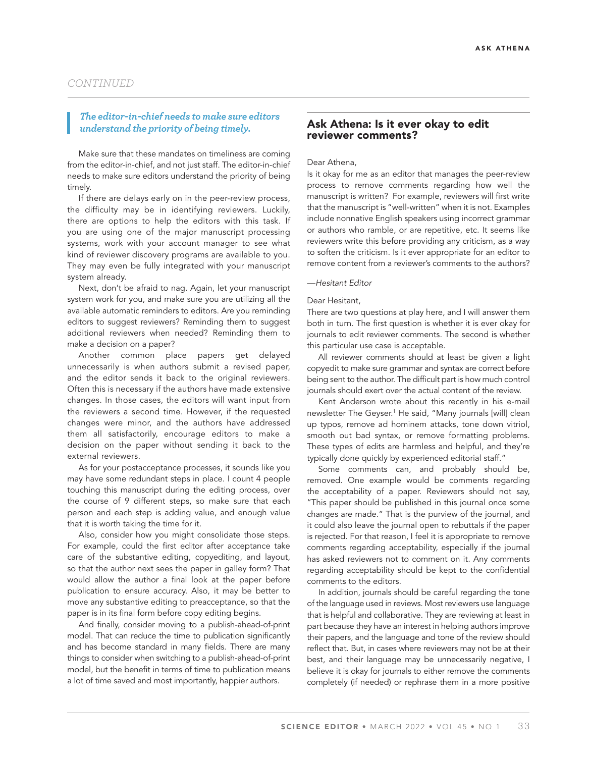# *The editor-in-chief needs to make sure editors understand the priority of being timely.*

Make sure that these mandates on timeliness are coming from the editor-in-chief, and not just staff. The editor-in-chief needs to make sure editors understand the priority of being timely.

If there are delays early on in the peer-review process, the difficulty may be in identifying reviewers. Luckily, there are options to help the editors with this task. If you are using one of the major manuscript processing systems, work with your account manager to see what kind of reviewer discovery programs are available to you. They may even be fully integrated with your manuscript system already.

Next, don't be afraid to nag. Again, let your manuscript system work for you, and make sure you are utilizing all the available automatic reminders to editors. Are you reminding editors to suggest reviewers? Reminding them to suggest additional reviewers when needed? Reminding them to make a decision on a paper?

Another common place papers get delayed unnecessarily is when authors submit a revised paper, and the editor sends it back to the original reviewers. Often this is necessary if the authors have made extensive changes. In those cases, the editors will want input from the reviewers a second time. However, if the requested changes were minor, and the authors have addressed them all satisfactorily, encourage editors to make a decision on the paper without sending it back to the external reviewers.

As for your postacceptance processes, it sounds like you may have some redundant steps in place. I count 4 people touching this manuscript during the editing process, over the course of 9 different steps, so make sure that each person and each step is adding value, and enough value that it is worth taking the time for it.

Also, consider how you might consolidate those steps. For example, could the first editor after acceptance take care of the substantive editing, copyediting, and layout, so that the author next sees the paper in galley form? That would allow the author a final look at the paper before publication to ensure accuracy. Also, it may be better to move any substantive editing to preacceptance, so that the paper is in its final form before copy editing begins.

And finally, consider moving to a publish-ahead-of-print model. That can reduce the time to publication significantly and has become standard in many fields. There are many things to consider when switching to a publish-ahead-of-print model, but the benefit in terms of time to publication means a lot of time saved and most importantly, happier authors.

### Ask Athena: Is it ever okay to edit reviewer comments?

Dear Athena,

Is it okay for me as an editor that manages the peer-review process to remove comments regarding how well the manuscript is written? For example, reviewers will first write that the manuscript is "well-written" when it is not. Examples include nonnative English speakers using incorrect grammar or authors who ramble, or are repetitive, etc. It seems like reviewers write this before providing any criticism, as a way to soften the criticism. Is it ever appropriate for an editor to remove content from a reviewer's comments to the authors?

#### —*Hesitant Editor*

#### Dear Hesitant,

There are two questions at play here, and I will answer them both in turn. The first question is whether it is ever okay for journals to edit reviewer comments. The second is whether this particular use case is acceptable.

All reviewer comments should at least be given a light copyedit to make sure grammar and syntax are correct before being sent to the author. The difficult part is how much control journals should exert over the actual content of the review.

Kent Anderson wrote about this recently in his e-mail newsletter The Geyser.<sup>1</sup> He said, "Many journals [will] clean up typos, remove ad hominem attacks, tone down vitriol, smooth out bad syntax, or remove formatting problems. These types of edits are harmless and helpful, and they're typically done quickly by experienced editorial staff."

Some comments can, and probably should be, removed. One example would be comments regarding the acceptability of a paper. Reviewers should not say, "This paper should be published in this journal once some changes are made." That is the purview of the journal, and it could also leave the journal open to rebuttals if the paper is rejected. For that reason, I feel it is appropriate to remove comments regarding acceptability, especially if the journal has asked reviewers not to comment on it. Any comments regarding acceptability should be kept to the confidential comments to the editors.

In addition, journals should be careful regarding the tone of the language used in reviews. Most reviewers use language that is helpful and collaborative. They are reviewing at least in part because they have an interest in helping authors improve their papers, and the language and tone of the review should reflect that. But, in cases where reviewers may not be at their best, and their language may be unnecessarily negative, I believe it is okay for journals to either remove the comments completely (if needed) or rephrase them in a more positive